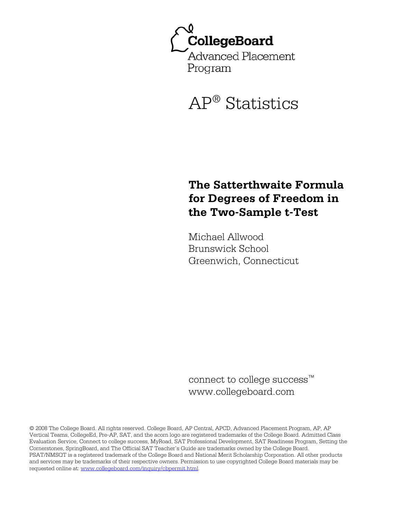

# AP® Statistics

# **The Satterthwaite Formula for Degrees of Freedom in the Two-Sample t-Test**

Michael Allwood Brunswick School Greenwich, Connecticut

connect to college success™ www.collegeboard.com

© 2008 The College Board. All rights reserved. College Board, AP Central, APCD, Advanced Placement Program, AP, AP Vertical Teams, CollegeEd, Pre-AP, SAT, and the acorn logo are registered trademarks of the College Board. Admitted Class Evaluation Service, Connect to college success, MyRoad, SAT Professional Development, SAT Readiness Program, Setting the Cornerstones, SpringBoard, and The Official SAT Teacher's Guide are trademarks owned by the College Board. PSAT/NMSQT is a registered trademark of the College Board and National Merit Scholarship Corporation. All other products and services may be trademarks of their respective owners. Permission to use copyrighted College Board materials may be requested online at: www.collegeboard.com/inquiry/cbpermit.html.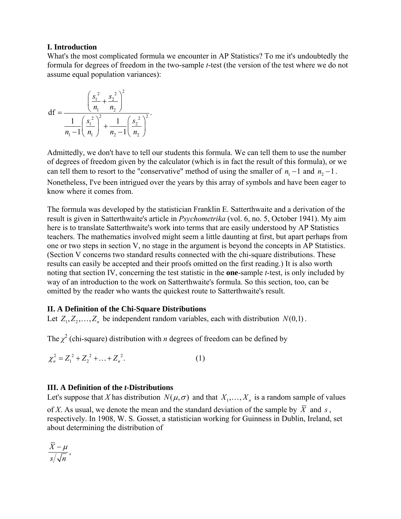### **I. Introduction**

What's the most complicated formula we encounter in AP Statistics? To me it's undoubtedly the formula for degrees of freedom in the two-sample *t*-test (the version of the test where we do not assume equal population variances):

df = 
$$
\frac{\left(\frac{s_1^2}{n_1} + \frac{s_2^2}{n_2}\right)^2}{\frac{1}{n_1 - 1} \left(\frac{s_1^2}{n_1}\right)^2 + \frac{1}{n_2 - 1} \left(\frac{s_2^2}{n_2}\right)^2}.
$$

Admittedly, we don't have to tell our students this formula. We can tell them to use the number of degrees of freedom given by the calculator (which is in fact the result of this formula), or we can tell them to resort to the "conservative" method of using the smaller of  $n_1 - 1$  and  $n_2 - 1$ . Nonetheless, I've been intrigued over the years by this array of symbols and have been eager to know where it comes from.

The formula was developed by the statistician Franklin E. Satterthwaite and a derivation of the result is given in Satterthwaite's article in *Psychometrika* (vol. 6, no. 5, October 1941). My aim here is to translate Satterthwaite's work into terms that are easily understood by AP Statistics teachers. The mathematics involved might seem a little daunting at first, but apart perhaps from one or two steps in section V, no stage in the argument is beyond the concepts in AP Statistics. (Section V concerns two standard results connected with the chi-square distributions. These results can easily be accepted and their proofs omitted on the first reading.) It is also worth noting that section IV, concerning the test statistic in the **one**-sample *t*-test, is only included by way of an introduction to the work on Satterthwaite's formula. So this section, too, can be omitted by the reader who wants the quickest route to Satterthwaite's result.

# **II. A Definition of the Chi-Square Distributions**

Let  $Z_1, Z_2, \ldots, Z_n$  be independent random variables, each with distribution  $N(0,1)$ .

The  $\chi^2$  (chi-square) distribution with *n* degrees of freedom can be defined by

$$
\chi_n^2 = Z_1^2 + Z_2^2 + \dots + Z_n^2. \tag{1}
$$

# **III. A Definition of the** *t***-Distributions**

Let's suppose that *X* has distribution  $N(\mu, \sigma)$  and that  $X_1, \dots, X_n$  is a random sample of values

of *X*. As usual, we denote the mean and the standard deviation of the sample by  $\overline{X}$  and *s*, respectively. In 1908, W. S. Gosset, a statistician working for Guinness in Dublin, Ireland, set about determining the distribution of

$$
\frac{\overline{X} - \mu}{s / \sqrt{n}},
$$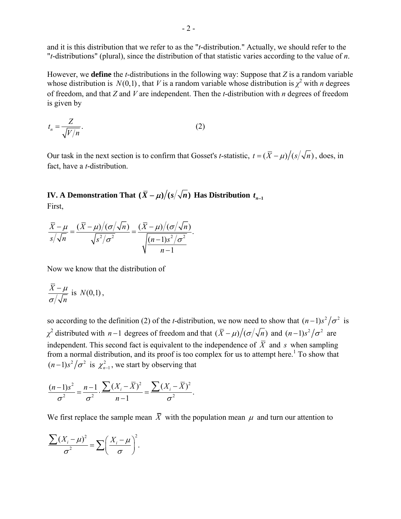and it is this distribution that we refer to as the "*t*-distribution." Actually, we should refer to the "*t*-distributions" (plural), since the distribution of that statistic varies according to the value of *n*.

However, we **define** the *t*-distributions in the following way: Suppose that *Z* is a random variable whose distribution is  $N(0,1)$ , that *V* is a random variable whose distribution is  $\chi^2$  with *n* degrees of freedom, and that *Z* and *V* are independent. Then the *t*-distribution with *n* degrees of freedom is given by

$$
t_n = \frac{Z}{\sqrt{V/n}}.\tag{2}
$$

Our task in the next section is to confirm that Gosset's *t*-statistic,  $t = (\bar{X} - \mu)/(s/\sqrt{n})$ , does, in fact, have a *t*-distribution.

**IV.** A Demonstration That  $(\bar{X} - \mu)/(s/\sqrt{n})$  Has Distribution  $t_{n-1}$ First,

$$
\frac{\overline{X} - \mu}{s/\sqrt{n}} = \frac{(\overline{X} - \mu)/(\sigma/\sqrt{n})}{\sqrt{s^2/\sigma^2}} = \frac{(\overline{X} - \mu)/(\sigma/\sqrt{n})}{\sqrt{\frac{(n-1)s^2/\sigma^2}{n-1}}}.
$$

Now we know that the distribution of

$$
\frac{\overline{X} - \mu}{\sigma / \sqrt{n}} \text{ is } N(0,1),
$$

so according to the definition (2) of the *t*-distribution, we now need to show that  $(n-1)s^2 / \sigma^2$  is *χ*<sup>2</sup> distributed with *n* −1 degrees of freedom and that  $(\bar{X} - \mu)/(\sigma/\sqrt{n})$  and  $(n-1)s^2/\sigma^2$  are independent. This second fact is equivalent to the independence of  $\overline{X}$  and *s* when sampling from a normal distribution, and its proof is too complex for us to attempt here.<sup>1</sup> To show that  $(n-1)s^2/\sigma^2$  is  $\chi^2_{n-1}$ , we start by observing that

$$
\frac{(n-1)s^2}{\sigma^2} = \frac{n-1}{\sigma^2} \cdot \frac{\sum (X_i - \overline{X})^2}{n-1} = \frac{\sum (X_i - \overline{X})^2}{\sigma^2}.
$$

We first replace the sample mean  $\overline{X}$  with the population mean  $\mu$  and turn our attention to

$$
\frac{\sum (X_i - \mu)^2}{\sigma^2} = \sum \left( \frac{X_i - \mu}{\sigma} \right)^2.
$$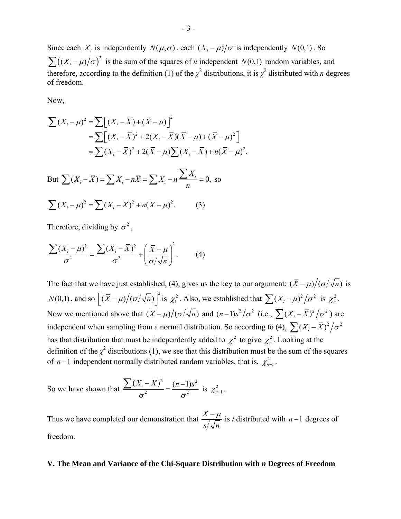Since each *X<sub>i</sub>* is independently  $N(\mu, \sigma)$ , each  $(X_i - \mu)/\sigma$  is independently  $N(0,1)$ . So  $\sum ((X_i - \mu)/\sigma)^2$  is the sum of the squares of *n* independent *N*(0,1) random variables, and therefore, according to the definition (1) of the  $\chi^2$  distributions, it is  $\chi^2$  distributed with *n* degrees of freedom.

Now,

$$
\sum (X_i - \mu)^2 = \sum \left[ (X_i - \bar{X}) + (\bar{X} - \mu) \right]^2
$$
  
\n
$$
= \sum \left[ (X_i - \bar{X})^2 + 2(X_i - \bar{X})(\bar{X} - \mu) + (\bar{X} - \mu)^2 \right]
$$
  
\n
$$
= \sum (X_i - \bar{X})^2 + 2(\bar{X} - \mu) \sum (X_i - \bar{X}) + n(\bar{X} - \mu)^2.
$$
  
\nBut 
$$
\sum (X_i - \bar{X}) = \sum X_i - n\bar{X} = \sum X_i - n\frac{\sum X_i}{n} = 0, \text{ so}
$$
  
\n
$$
\sum (X_i - \mu)^2 = \sum (X_i - \bar{X})^2 + n(\bar{X} - \mu)^2. \qquad (3)
$$

Therefore, dividing by  $\sigma^2$ ,

$$
\frac{\sum (X_i - \mu)^2}{\sigma^2} = \frac{\sum (X_i - \overline{X})^2}{\sigma^2} + \left(\frac{\overline{X} - \mu}{\sigma/\sqrt{n}}\right)^2.
$$
 (4)

The fact that we have just established, (4), gives us the key to our argument:  $(\bar{X} - \mu)/(\sigma/\sqrt{n})$  is  $N(0,1)$ , and so  $\left[ (\bar{X} - \mu) / (\sigma/\sqrt{n}) \right]^2$  is  $\chi^2$ . Also, we established that  $\sum (X_i - \mu)^2 / \sigma^2$  is  $\chi^2$ . Now we mentioned above that  $(\bar{X} - \mu) / (\sigma/\sqrt{n})$  and  $(n-1)s^2 / \sigma^2$  (i.e.,  $\sum (X_i - \bar{X})^2 / \sigma^2$ ) are independent when sampling from a normal distribution. So according to (4),  $\sum (X_i - \overline{X})^2 / \sigma^2$ has that distribution that must be independently added to  $\chi_1^2$  to give  $\chi_n^2$ . Looking at the definition of the  $\chi^2$  distributions (1), we see that this distribution must be the sum of the squares of *n* −1 independent normally distributed random variables, that is,  $\chi^2_{n-1}$ .

So we have shown that  $^{2}$  (n 1)  $a^{2}$ 2 2  $(X_i - \overline{X})^2$  (n-1)  $\frac{\sum (X_i - \bar{X})^2}{\sigma^2} = \frac{(n-1)s^2}{\sigma^2}$  is  $\chi^2_{n-1}$ .

Thus we have completed our demonstration that  $\frac{\overline{X} - \mu}{\sqrt{X}}$ *s n* is *t* distributed with *n* −1 degrees of freedom.

#### **V. The Mean and Variance of the Chi-Square Distribution with** *n* **Degrees of Freedom**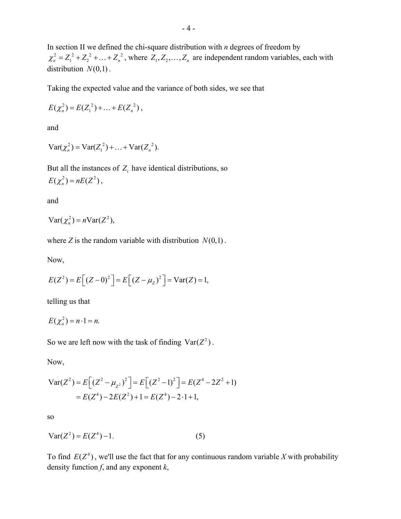In section II we defined the chi-square distribution with *n* degrees of freedom by  $\chi_n^2 = Z_1^2 + Z_2^2 + \ldots + Z_n^2$ , where  $Z_1, Z_2, \ldots, Z_n$  are independent random variables, each with distribution  $N(0,1)$ .

Taking the expected value and the variance of both sides, we see that

$$
E(\chi_n^2) = E(Z_1^2) + \ldots + E(Z_n^2),
$$

and

$$
Var(\chi_n^2) = Var(Z_1^2) + ... + Var(Z_n^2).
$$

But all the instances of  $Z_i$  have identical distributions, so  $E(\chi^2_n) = nE(Z^2)$ ,

and

$$
Var(\chi_n^2) = nVar(Z^2),
$$

where *Z* is the random variable with distribution  $N(0,1)$ .

Now,

$$
E(Z^{2}) = E[(Z - 0)^{2}] = E[(Z - \mu_{Z})^{2}] = Var(Z) = 1,
$$

telling us that

$$
E(\chi_n^2)=n\cdot 1=n.
$$

So we are left now with the task of finding  $Var(Z^2)$ .

Now,

$$
\begin{aligned} \text{Var}(Z^2) &= E\Big[(Z^2 - \mu_{Z^2})^2\Big] = E\Big[(Z^2 - 1)^2\Big] = E(Z^4 - 2Z^2 + 1) \\ &= E(Z^4) - 2E(Z^2) + 1 = E(Z^4) - 2 \cdot 1 + 1, \end{aligned}
$$

so

$$
Var(Z^2) = E(Z^4) - 1.
$$
 (5)

To find  $E(Z^4)$ , we'll use the fact that for any continuous random variable *X* with probability density function *f*, and any exponent *k*,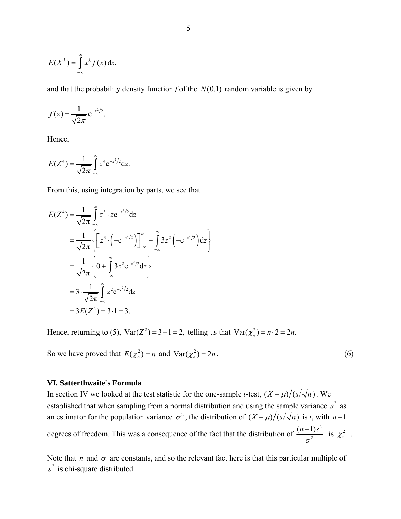$$
E(X^k) = \int_{-\infty}^{\infty} x^k f(x) \, \mathrm{d}x,
$$

and that the probability density function  $f$  of the  $N(0,1)$  random variable is given by

$$
f(z) = \frac{1}{\sqrt{2\pi}} e^{-z^2/2}.
$$

Hence,

$$
E(Z^{4}) = \frac{1}{\sqrt{2\pi}} \int_{-\infty}^{\infty} z^{4} e^{-z^{2}/2} dz.
$$

From this, using integration by parts, we see that

$$
E(Z^4) = \frac{1}{\sqrt{2\pi}} \int_{-\infty}^{\infty} z^3 \cdot ze^{-z^2/2} dz
$$
  
=  $\frac{1}{\sqrt{2\pi}} \left\{ \left[ z^3 \cdot \left( -e^{-z^2/2} \right) \right]_{-\infty}^{\infty} - \int_{-\infty}^{\infty} 3z^2 \left( -e^{-z^2/2} \right) dz \right\}$   
=  $\frac{1}{\sqrt{2\pi}} \left\{ 0 + \int_{-\infty}^{\infty} 3z^2 e^{-z^2/2} dz \right\}$   
=  $3 \cdot \frac{1}{\sqrt{2\pi}} \int_{-\infty}^{\infty} z^2 e^{-z^2/2} dz$   
=  $3E(Z^2) = 3 \cdot 1 = 3$ .

Hence, returning to (5),  $Var(Z^2) = 3 - 1 = 2$ , *z* elling us that  $Var(\chi_n^2) = n \cdot 2 = 2n$ .

So we have proved that  $E(\chi_n^2) = n$  and  $Var(\chi_n^2) = 2n$ . (6)

#### **VI. Satterthwaite's Formula**

In section IV we looked at the test statistic for the one-sample *t*-test,  $(\bar{X} - \mu)/(s/\sqrt{n})$ . We established that when sampling from a normal distribution and using the sample variance  $s^2$  as an estimator for the population variance  $\sigma^2$ , the distribution of  $(\bar{X} - \mu)/(s/\sqrt{n})$  is *t*, with *n* −1 degrees of freedom. This was a consequence of the fact that the distribution of <sup>2</sup> is  $\mu^2$  $rac{(n-1)s^2}{\sigma^2}$  is  $\chi^2_{n-1}$ .

Note that *n* and  $\sigma$  are constants, and so the relevant fact here is that this particular multiple of s<sup>2</sup> is chi-square distributed.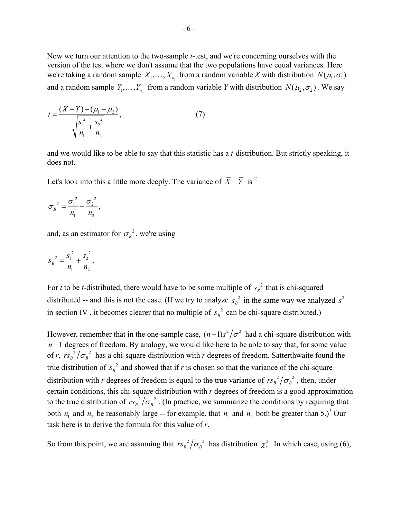Now we turn our attention to the two-sample *t*-test, and we're concerning ourselves with the version of the test where we don't assume that the two populations have equal variances. Here we're taking a random sample  $X_1, \ldots, X_n$  from a random variable X with distribution  $N(\mu_1, \sigma_1)$ and a random sample  $Y_1, \ldots, Y_n$ , from a random variable *Y* with distribution  $N(\mu_2, \sigma_2)$ . We say

$$
t = \frac{(\overline{X} - \overline{Y}) - (\mu_1 - \mu_2)}{\sqrt{\frac{s_1^2}{n_1} + \frac{s_2^2}{n_2}}},\tag{7}
$$

and we would like to be able to say that this statistic has a *t*-distribution. But strictly speaking, it does not.

Let's look into this a little more deeply. The variance of  $\overline{X} - \overline{Y}$  is <sup>2</sup>

$$
\sigma_B^2 = \frac{\sigma_1^2}{n_1} + \frac{\sigma_2^2}{n_2},
$$

and, as an estimator for  $\sigma_B^2$ , we're using

$$
s_B^2 = \frac{s_1^2}{n_1} + \frac{s_2^2}{n_2}.
$$

For *t* to be *t*-distributed, there would have to be some multiple of  $s_B^2$  that is chi-squared distributed -- and this is not the case. (If we try to analyze  $s_B^2$  in the same way we analyzed  $s^2$ in section IV, it becomes clearer that no multiple of  $s_B^2$  can be chi-square distributed.)

However, remember that in the one-sample case,  $(n-1)s^2 / \sigma^2$  had a chi-square distribution with *n* −1 degrees of freedom. By analogy, we would like here to be able to say that, for some value of *r*,  $rs_B^2/\sigma_B^2$  has a chi-square distribution with *r* degrees of freedom. Satterthwaite found the true distribution of  $s_B^2$  and showed that if *r* is chosen so that the variance of the chi-square distribution with *r* degrees of freedom is equal to the true variance of  $rs_B^2/\sigma_B^2$ , then, under certain conditions, this chi-square distribution with *r* degrees of freedom is a good approximation to the true distribution of  $rs_B^2/\sigma_B^2$ . (In practice, we summarize the conditions by requiring that both  $n_1$  and  $n_2$  be reasonably large -- for example, that  $n_1$  and  $n_2$  both be greater than 5.)<sup>3</sup> Our task here is to derive the formula for this value of *r*.

So from this point, we are assuming that  $rs_B^2/\sigma_B^2$  has distribution  $\chi_r^2$ . In which case, using (6),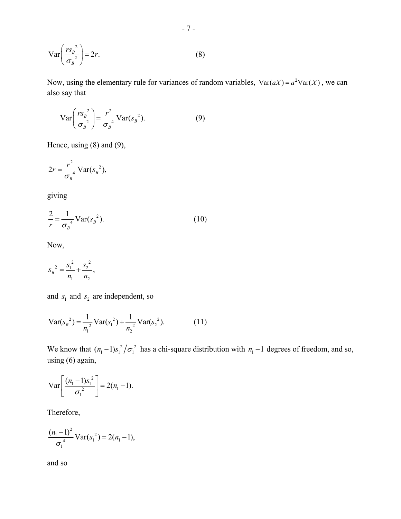$$
\operatorname{Var}\left(\frac{rs_{B}^{2}}{\sigma_{B}^{2}}\right) = 2r.\tag{8}
$$

Now, using the elementary rule for variances of random variables,  $Var(aX) = a^2 Var(X)$ , we can also say that

$$
\operatorname{Var}\left(\frac{rs_{B}^{2}}{\sigma_{B}^{2}}\right) = \frac{r^{2}}{\sigma_{B}^{4}} \operatorname{Var}(s_{B}^{2}).
$$
 (9)

Hence, using (8) and (9),

$$
2r = \frac{r^2}{\sigma_B^4} \text{Var}(s_B^2),
$$

giving

$$
\frac{2}{r} = \frac{1}{\sigma_B^4} \text{Var}(s_B^2). \tag{10}
$$

Now,

$$
s_B^2 = \frac{s_1^2}{n_1} + \frac{s_2^2}{n_2},
$$

and  $s_1$  and  $s_2$  are independent, so

$$
Var(s_B^2) = \frac{1}{n_1^2} Var(s_1^2) + \frac{1}{n_2^2} Var(s_2^2).
$$
 (11)

We know that  $(n_1 - 1)s_1^2 / \sigma_1^2$  has a chi-square distribution with  $n_1 - 1$  degrees of freedom, and so, using (6) again,

$$
\text{Var}\left[\frac{(n_1-1)s_1^2}{\sigma_1^2}\right] = 2(n_1-1).
$$

Therefore,

$$
\frac{(n_1-1)^2}{\sigma_1^4}\text{Var}(s_1^2) = 2(n_1-1),
$$

and so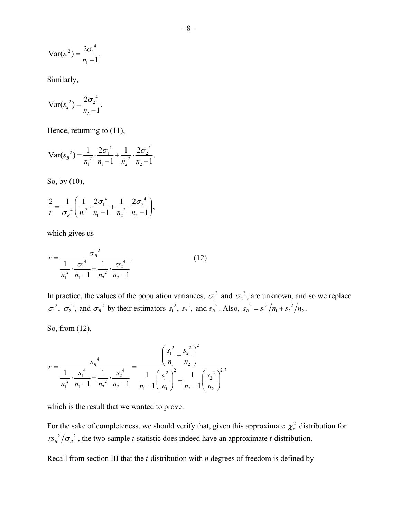$$
Var(s_1^2) = \frac{2\sigma_1^4}{n_1 - 1}.
$$

Similarly,

$$
Var(s_2^2) = \frac{2\sigma_2^4}{n_2 - 1}.
$$

Hence, returning to  $(11)$ ,

 $2_{2}$   $\frac{1}{2}\sigma_1^4$   $\frac{1}{2}\sigma_2^4$ 2  $\frac{1}{2}$   $\frac{2}{2}$  $\text{Var}(s_B^2) = \frac{1}{n_1^2} \cdot \frac{2\sigma_1^4}{n_1-1} + \frac{1}{n_2^2} \cdot \frac{2\sigma_2^4}{n_2-1}.$  $=\frac{1}{n_1^2}\cdot\frac{2\sigma_1}{n_1-1}+\frac{1}{n_2^2}\cdot\frac{2\sigma_2}{n_2-1}$ 

So, by (10),

$$
\frac{2}{r} = \frac{1}{\sigma_{B}^{4}} \left( \frac{1}{n_{1}^{2}} \cdot \frac{2\sigma_{1}^{4}}{n_{1} - 1} + \frac{1}{n_{2}^{2}} \cdot \frac{2\sigma_{2}^{4}}{n_{2} - 1} \right),
$$

which gives us

$$
r = \frac{{\sigma_B}^2}{\frac{1}{n_1^2} \cdot \frac{{\sigma_1}^4}{n_1 - 1} + \frac{1}{n_2^2} \cdot \frac{{\sigma_2}^4}{n_2 - 1}}.
$$
 (12)

In practice, the values of the population variances,  $\sigma_1^2$  and  $\sigma_2^2$ , are unknown, and so we replace  $\sigma_1^2$ ,  $\sigma_2^2$ , and  $\sigma_B^2$  by their estimators  $s_1^2$ ,  $s_2^2$ , and  $s_B^2$ . Also,  $s_B^2 = s_1^2/n_1 + s_2^2/n_2$ .

So, from (12),

$$
r = \frac{s_B^{-4}}{\frac{1}{n_1^2} \cdot \frac{s_1^{-4}}{n_1 - 1} + \frac{1}{n_2^2} \cdot \frac{s_2^{-4}}{n_2 - 1}} = \frac{\left(\frac{s_1^2}{n_1} + \frac{s_2^{-2}}{n_2}\right)^2}{\frac{1}{n_1 - 1} \left(\frac{s_1^{-2}}{n_1}\right)^2 + \frac{1}{n_2 - 1} \left(\frac{s_2^{-2}}{n_2}\right)^2},
$$

which is the result that we wanted to prove.

For the sake of completeness, we should verify that, given this approximate  $\chi^2$  distribution for  $r s_B^2 / \sigma_B^2$ , the two-sample *t*-statistic does indeed have an approximate *t*-distribution.

Recall from section III that the *t*-distribution with *n* degrees of freedom is defined by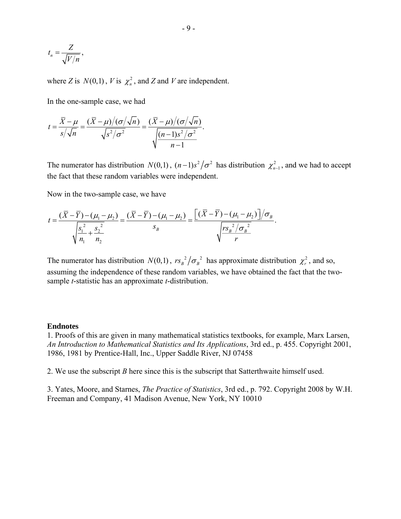$$
t_n = \frac{Z}{\sqrt{V/n}},
$$

where *Z* is  $N(0,1)$ , *V* is  $\chi^2$ , and *Z* and *V* are independent.

In the one-sample case, we had

$$
t = \frac{\overline{X} - \mu}{s/\sqrt{n}} = \frac{(\overline{X} - \mu)/(\sigma/\sqrt{n})}{\sqrt{s^2/\sigma^2}} = \frac{(\overline{X} - \mu)/(\sigma/\sqrt{n})}{\sqrt{\frac{(n-1)s^2/\sigma^2}{n-1}}}.
$$

The numerator has distribution  $N(0,1)$ ,  $(n-1)s^2/\sigma^2$  has distribution  $\chi^2_{n-1}$ , and we had to accept the fact that these random variables were independent.

Now in the two-sample case, we have

$$
t = \frac{(\overline{X} - \overline{Y}) - (\mu_1 - \mu_2)}{\sqrt{\frac{s_1^2}{n_1} + \frac{s_2^2}{n_2}}} = \frac{(\overline{X} - \overline{Y}) - (\mu_1 - \mu_2)}{s_B} = \frac{[(\overline{X} - \overline{Y}) - (\mu_1 - \mu_2)]/\sigma_B}{\sqrt{\frac{r s_B^2/\sigma_B^2}{r}}}.
$$

The numerator has distribution  $N(0,1)$ ,  $rs_B^2 / \sigma_B^2$  has approximate distribution  $\chi_r^2$ , and so, assuming the independence of these random variables, we have obtained the fact that the twosample *t*-statistic has an approximate *t*-distribution.

#### **Endnotes**

1. Proofs of this are given in many mathematical statistics textbooks, for example, Marx Larsen, *An Introduction to Mathematical Statistics and Its Applications*, 3rd ed., p. 455. Copyright 2001, 1986, 1981 by Prentice-Hall, Inc., Upper Saddle River, NJ 07458

2. We use the subscript *B* here since this is the subscript that Satterthwaite himself used.

3. Yates, Moore, and Starnes, *The Practice of Statistics*, 3rd ed., p. 792. Copyright 2008 by W.H. Freeman and Company, 41 Madison Avenue, New York, NY 10010